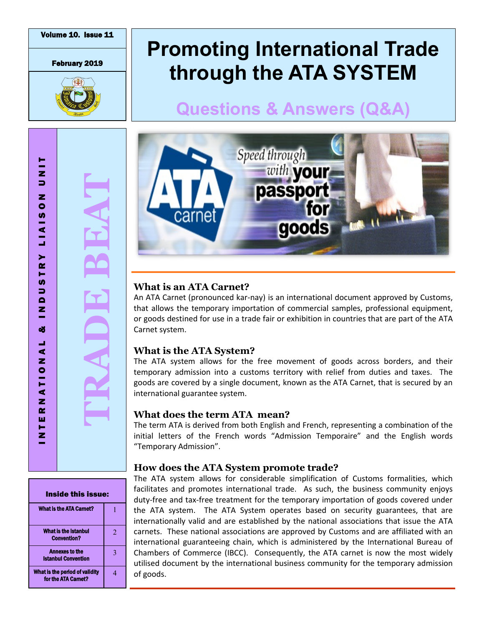February 2019



# **Promoting International Trade through the ATA SYSTEM**

## **Questions & Answers (Q&A)**





## **What is an ATA Carnet?**

An ATA Carnet (pronounced kar -nay) is an international document approved by Customs, that allows the temporary importation of commercial samples, professional equipment, or goods destined for use in a [trade fair](https://www.globalnegotiator.com/international-trade/dictionary/trade-fair/) or exhibition in countries that are part of the ATA Carnet system.

### **What is the ATA System?**

The ATA system allows for the free movement of goods across borders, and their temporary admission into a customs territory with relief from duties and taxes. The goods are covered by a single document, known as the ATA Carnet, that is secured by an international guarantee system.

## **What does the term ATA mean?**

The term ATA is derived from both English and French, representing a combination of the initial letters of the French words "Admission Temporaire" and the English words "Temporary Admission".

## **How does the ATA System promote trade?**

The ATA system allows for considerable simplification of Customs formalities, which facilitates and promotes international trade. As such, the business community enjoys duty-free and tax-free treatment for the temporary importation of goods covered under the ATA system. The ATA System operates based on security guarantees, that are internationally valid and are established by the national associations that issue the ATA carnets. These national associations are approved by Customs and are affiliated with an international guaranteeing chain, which is administered by the International Bureau of Chambers of Commerce (IBCC). Consequently, the ATA carnet is now the most widely utilised document by the international business community for the temporary admission of goods.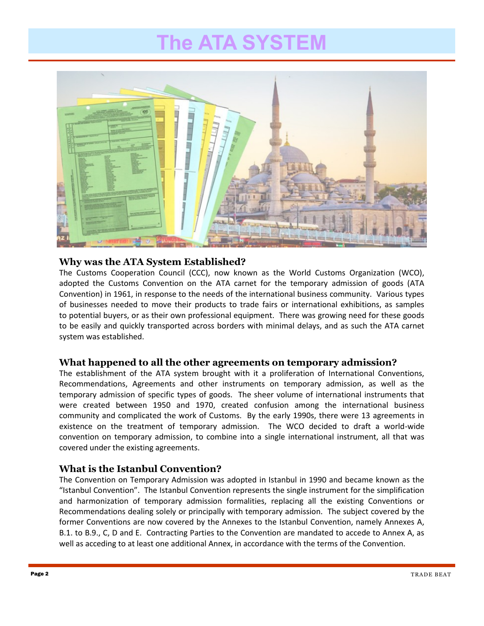# **The ATA SYSTEM**



#### **Why was the ATA System Established?**

The Customs Cooperation Council (CCC), now known as the World Customs Organization (WCO), adopted the Customs Convention on the ATA carnet for the temporary admission of goods (ATA Convention) in 1961, in response to the needs of the international business community. Various types of businesses needed to move their products to trade fairs or international exhibitions, as samples to potential buyers, or as their own professional equipment. There was growing need for these goods to be easily and quickly transported across borders with minimal delays, and as such the ATA carnet system was established.

#### **What happened to all the other agreements on temporary admission?**

The establishment of the ATA system brought with it a proliferation of International Conventions, Recommendations, Agreements and other instruments on temporary admission, as well as the temporary admission of specific types of goods. The sheer volume of international instruments that were created between 1950 and 1970, created confusion among the international business community and complicated the work of Customs. By the early 1990s, there were 13 agreements in existence on the treatment of temporary admission. The WCO decided to draft a world-wide convention on temporary admission, to combine into a single international instrument, all that was covered under the existing agreements.

#### **What is the Istanbul Convention?**

The Convention on Temporary Admission was adopted in Istanbul in 1990 and became known as the "Istanbul Convention". The Istanbul Convention represents the single instrument for the simplification and harmonization of temporary admission formalities, replacing all the existing Conventions or Recommendations dealing solely or principally with temporary admission. The subject covered by the former Conventions are now covered by the Annexes to the Istanbul Convention, namely Annexes A, B.1. to B.9., C, D and E. Contracting Parties to the Convention are mandated to accede to Annex A, as well as acceding to at least one additional Annex, in accordance with the terms of the Convention.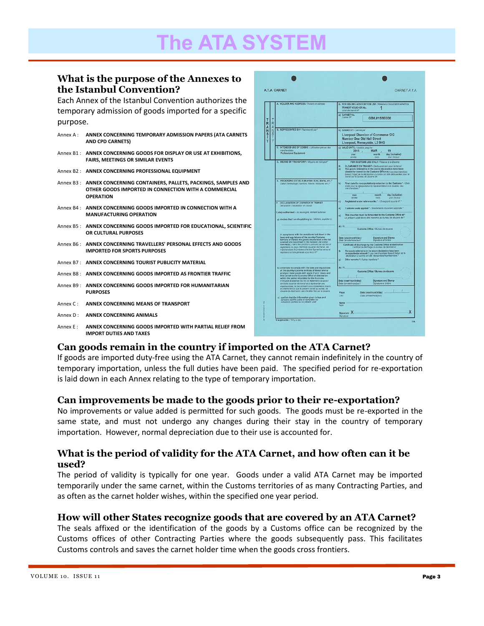#### **What is the purpose of the Annexes to the Istanbul Convention?**

Each Annex of the Istanbul Convention authorizes the temporary admission of goods imported for a specific purpose.

|          | Annex A: ANNEX CONCERNING TEMPORARY ADMISSION PAPERS (ATA CARNETS<br>AND CPD CARNETS)                                                             |
|----------|---------------------------------------------------------------------------------------------------------------------------------------------------|
|          | Annex B1: ANNEX CONCERNING GOODS FOR DISPLAY OR USE AT EXHIBITIONS,<br><b>FAIRS, MEETINGS OR SIMILAR EVENTS</b>                                   |
|          | Annex B2: ANNEX CONCERNING PROFESSIONAL EQUIPMENT                                                                                                 |
|          | Annex B3: ANNEX CONCERNING CONTAINERS, PALLETS, PACKINGS, SAMPLES AND<br>OTHER GOODS IMPORTED IN CONNECTION WITH A COMMERCIAL<br><b>OPERATION</b> |
|          | Annex B4: ANNEX CONCERNING GOODS IMPORTED IN CONNECTION WITH A<br><b>MANUFACTURING OPERATION</b>                                                  |
|          | Annex B5: ANNEX CONCERNING GOODS IMPORTED FOR EDUCATIONAL, SCIENTIFIC<br>OR CULTURAL PURPOSES                                                     |
|          | Annex B6: ANNEX CONCERNING TRAVELLERS' PERSONAL EFFECTS AND GOODS<br><b>IMPORTED FOR SPORTS PURPOSES</b>                                          |
|          | Annex B7: ANNEX CONCERNING TOURIST PUBLICITY MATERIAL                                                                                             |
|          | Annex B8: ANNEX CONCERNING GOODS IMPORTED AS FRONTIER TRAFFIC                                                                                     |
|          | Annex B9: ANNEX CONCERNING GOODS IMPORTED FOR HUMANITARIAN<br><b>PURPOSES</b>                                                                     |
|          | Annex C: ANNEX CONCERNING MEANS OF TRANSPORT                                                                                                      |
|          | Annex D: ANNEX CONCERNING ANIMALS                                                                                                                 |
| Annex E: | ANNEX CONCERNING GOODS IMPORTED WITH PARTIAL RELIEF FROM<br><b>IMPORT DUTIES AND TAXES</b>                                                        |



### **Can goods remain in the country if imported on the ATA Carnet?**

If goods are imported duty-free using the ATA Carnet, they cannot remain indefinitely in the country of temporary importation, unless the full duties have been paid. The specified period for re-exportation is laid down in each Annex relating to the type of temporary importation.

#### **Can improvements be made to the goods prior to their re-exportation?**

No improvements or value added is permitted for such goods. The goods must be re-exported in the same state, and must not undergo any changes during their stay in the country of temporary importation. However, normal depreciation due to their use is accounted for.

#### **What is the period of validity for the ATA Carnet, and how often can it be used?**

The period of validity is typically for one year. Goods under a valid ATA Carnet may be imported temporarily under the same carnet, within the Customs territories of as many Contracting Parties, and as often as the carnet holder wishes, within the specified one year period.

#### **How will other States recognize goods that are covered by an ATA Carnet?**

The seals affixed or the identification of the goods by a Customs office can be recognized by the Customs offices of other Contracting Parties where the goods subsequently pass. This facilitates Customs controls and saves the carnet holder time when the goods cross frontiers.